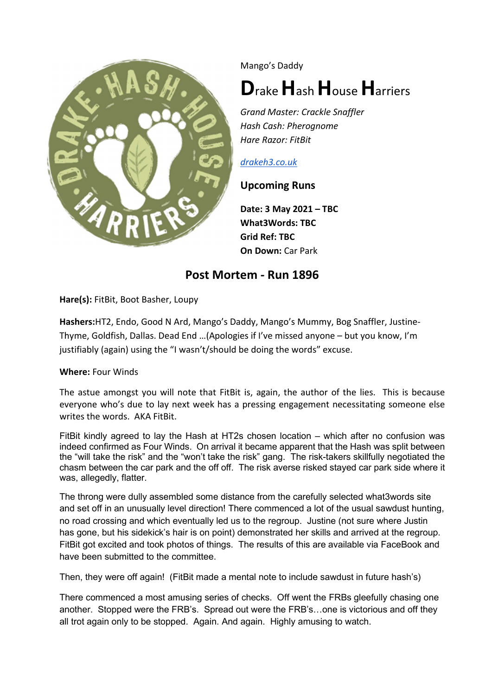

Mango's Daddy

## Drake Hash House Harriers

Grand Master: Crackle Snaffler Hash Cash: Pherognome Hare Razor: FitBit

## drakeh3.co.uk

## Upcoming Runs

Date: 3 May 2021 – TBC What3Words: TBC Grid Ref: TBC On Down: Car Park

## Post Mortem - Run 1896

Hare(s): FitBit, Boot Basher, Loupy

Hashers:HT2, Endo, Good N Ard, Mango's Daddy, Mango's Mummy, Bog Snaffler, Justine-Thyme, Goldfish, Dallas. Dead End …(Apologies if I've missed anyone – but you know, I'm justifiably (again) using the "I wasn't/should be doing the words" excuse.

Where: Four Winds

The astue amongst you will note that FitBit is, again, the author of the lies. This is because everyone who's due to lay next week has a pressing engagement necessitating someone else writes the words. AKA FitBit.

FitBit kindly agreed to lay the Hash at HT2s chosen location – which after no confusion was indeed confirmed as Four Winds. On arrival it became apparent that the Hash was split between the "will take the risk" and the "won't take the risk" gang. The risk-takers skillfully negotiated the chasm between the car park and the off off. The risk averse risked stayed car park side where it was, allegedly, flatter.

The throng were dully assembled some distance from the carefully selected what3words site and set off in an unusually level direction! There commenced a lot of the usual sawdust hunting, no road crossing and which eventually led us to the regroup. Justine (not sure where Justin has gone, but his sidekick's hair is on point) demonstrated her skills and arrived at the regroup. FitBit got excited and took photos of things. The results of this are available via FaceBook and have been submitted to the committee.

Then, they were off again! (FitBit made a mental note to include sawdust in future hash's)

There commenced a most amusing series of checks. Off went the FRBs gleefully chasing one another. Stopped were the FRB's. Spread out were the FRB's…one is victorious and off they all trot again only to be stopped. Again. And again. Highly amusing to watch.